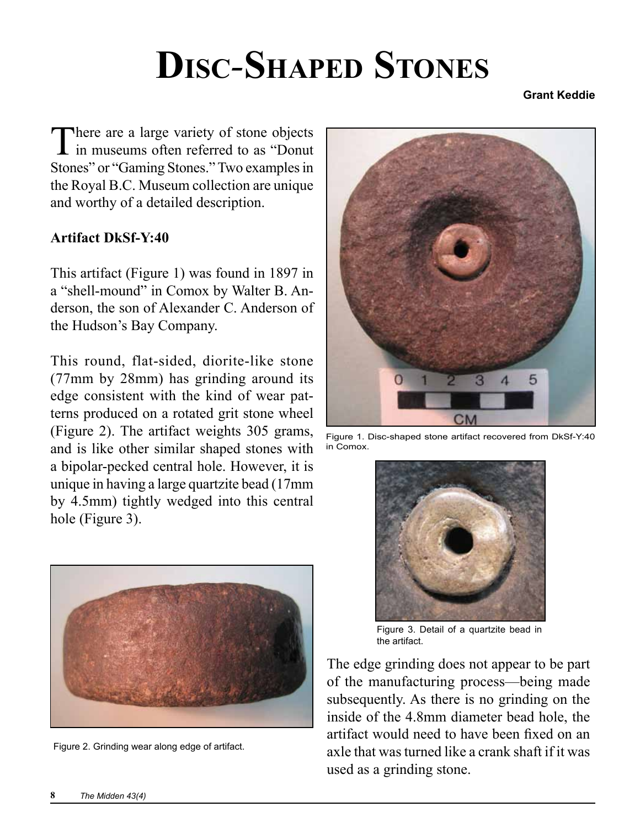## **Disc***-***Shaped Stones**

**Grant Keddie**

There are a large variety of stone objects<br>in museums often referred to as "Donut Stones" or "Gaming Stones." Two examples in the Royal B.C. Museum collection are unique and worthy of a detailed description.

## **Artifact DkSf-Y:40**

This artifact (Figure 1) was found in 1897 in a "shell-mound" in Comox by Walter B. Anderson, the son of Alexander C. Anderson of the Hudson's Bay Company.

This round, flat-sided, diorite-like stone (77mm by 28mm) has grinding around its edge consistent with the kind of wear patterns produced on a rotated grit stone wheel (Figure 2). The artifact weights 305 grams, and is like other similar shaped stones with a bipolar-pecked central hole. However, it is unique in having a large quartzite bead (17mm by 4.5mm) tightly wedged into this central hole (Figure 3).



Figure 2. Grinding wear along edge of artifact.



Figure 1. Disc-shaped stone artifact recovered from DkSf-Y:40 in Comox.



Figure 3. Detail of a quartzite bead in the artifact.

The edge grinding does not appear to be part of the manufacturing process—being made subsequently. As there is no grinding on the inside of the 4.8mm diameter bead hole, the artifact would need to have been fixed on an axle that was turned like a crank shaft if it was used as a grinding stone.